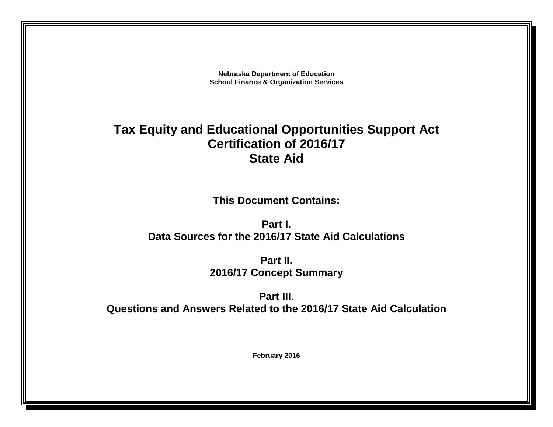**Nebraska Department of Education School Finance & Organization Services**

# **Tax Equity and Educational Opportunities Support Act Certification of 2016/17 State Aid**

**This Document Contains:**

**Part I. Data Sources for the 2016/17 State Aid Calculations**

> **Part II. 2016/17 Concept Summary**

**Part III. Questions and Answers Related to the 2016/17 State Aid Calculation**

**February 2016**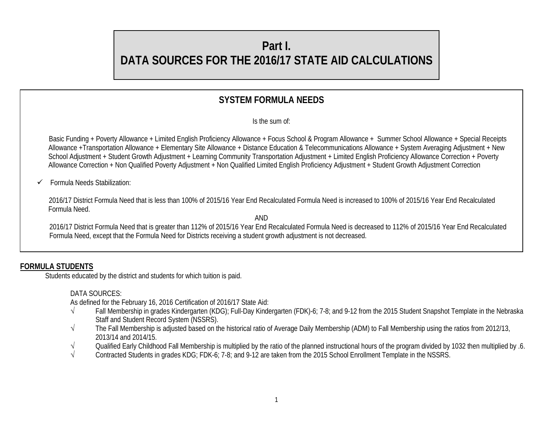# **Part I.**

# **DATA SOURCES FOR THE 2016/17 STATE AID CALCULATIONS**

# **SYSTEM FORMULA NEEDS**

Is the sum of:

 Basic Funding + Poverty Allowance + Limited English Proficiency Allowance + Focus School & Program Allowance + Summer School Allowance + Special Receipts Allowance +Transportation Allowance + Elementary Site Allowance + Distance Education & Telecommunications Allowance + System Averaging Adjustment + New School Adjustment + Student Growth Adjustment + Learning Community Transportation Adjustment + Limited English Proficiency Allowance Correction + Poverty Allowance Correction + Non Qualified Poverty Adjustment + Non Qualified Limited English Proficiency Adjustment + Student Growth Adjustment Correction

# Formula Needs Stabilization:

 2016/17 District Formula Need that is less than 100% of 2015/16 Year End Recalculated Formula Need is increased to 100% of 2015/16 Year End Recalculated Formula Need.

 AND 2016/17 District Formula Need that is greater than 112% of 2015/16 Year End Recalculated Formula Need is decreased to 112% of 2015/16 Year End Recalculated Formula Need, except that the Formula Need for Districts receiving a student growth adjustment is not decreased.

# **FORMULA STUDENTS**

Students educated by the district and students for which tuition is paid.

# DATA SOURCES:

As defined for the February 16, 2016 Certification of 2016/17 State Aid:

- √ Fall Membership in grades Kindergarten (KDG); Full-Day Kindergarten (FDK)-6; 7-8; and 9-12 from the 2015 Student Snapshot Template in the Nebraska Staff and Student Record System (NSSRS).
- √ The Fall Membership is adjusted based on the historical ratio of Average Daily Membership (ADM) to Fall Membership using the ratios from 2012/13, 2013/14 and 2014/15.
- √ Qualified Early Childhood Fall Membership is multiplied by the ratio of the planned instructional hours of the program divided by 1032 then multiplied by .6.<br>Contracted Students in grades KDG: FDK-6: 7-8: and 9-12 are t
- Contracted Students in grades KDG; FDK-6; 7-8; and 9-12 are taken from the 2015 School Enrollment Template in the NSSRS.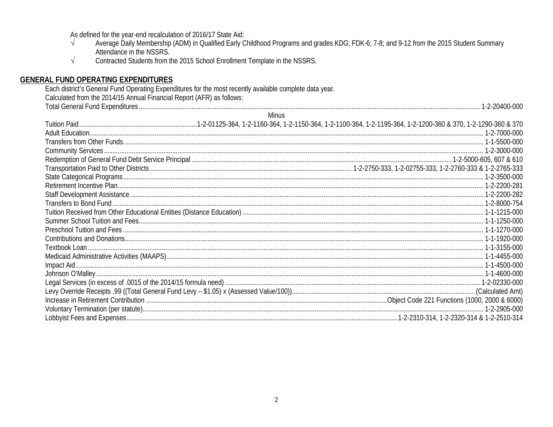As defined for the year-end recalculation of 2016/17 State Aid:

- Average Daily Membership (ADM) in Qualified Early Childhood Programs and grades KDG; FDK-6; 7-8; and 9-12 from the 2015 Student Summary  $\sqrt{ }$ Attendance in the NSSRS.
- $\sqrt{ }$ Contracted Students from the 2015 School Enrollment Template in the NSSRS.

#### **GENERAL FUND OPERATING EXPENDITURES**

Each district's General Fund Operating Expenditures for the most recently available complete data year. Calculated from the 2014/15 Annual Financial Report (AFR) as follows: 

| Minus |  |
|-------|--|
|       |  |
|       |  |
|       |  |
|       |  |
|       |  |
|       |  |
|       |  |
|       |  |
|       |  |
|       |  |
|       |  |
|       |  |
|       |  |
|       |  |
|       |  |
|       |  |
|       |  |
|       |  |
|       |  |
|       |  |
|       |  |
|       |  |
|       |  |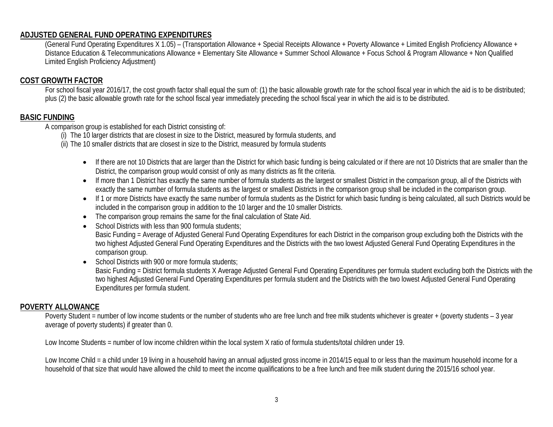#### **ADJUSTED GENERAL FUND OPERATING EXPENDITURES**

(General Fund Operating Expenditures X 1.05) – (Transportation Allowance + Special Receipts Allowance + Poverty Allowance + Limited English Proficiency Allowance + Distance Education & Telecommunications Allowance + Elementary Site Allowance + Summer School Allowance + Focus School & Program Allowance + Non Qualified Limited English Proficiency Adjustment)

#### **COST GROWTH FACTOR**

For school fiscal year 2016/17, the cost growth factor shall equal the sum of: (1) the basic allowable growth rate for the school fiscal year in which the aid is to be distributed; plus (2) the basic allowable growth rate for the school fiscal year immediately preceding the school fiscal year in which the aid is to be distributed.

#### **BASIC FUNDING**

A comparison group is established for each District consisting of:

(i) The 10 larger districts that are closest in size to the District, measured by formula students, and

(ii) The 10 smaller districts that are closest in size to the District, measured by formula students

- If there are not 10 Districts that are larger than the District for which basic funding is being calculated or if there are not 10 Districts that are smaller than the District, the comparison group would consist of only as many districts as fit the criteria.
- If more than 1 District has exactly the same number of formula students as the largest or smallest District in the comparison group, all of the Districts with exactly the same number of formula students as the largest or smallest Districts in the comparison group shall be included in the comparison group.
- If 1 or more Districts have exactly the same number of formula students as the District for which basic funding is being calculated, all such Districts would be included in the comparison group in addition to the 10 larger and the 10 smaller Districts.
- The comparison group remains the same for the final calculation of State Aid.
- School Districts with less than 900 formula students;

Basic Funding = Average of Adjusted General Fund Operating Expenditures for each District in the comparison group excluding both the Districts with the two highest Adjusted General Fund Operating Expenditures and the Districts with the two lowest Adjusted General Fund Operating Expenditures in the comparison group.

• School Districts with 900 or more formula students; Basic Funding = District formula students X Average Adjusted General Fund Operating Expenditures per formula student excluding both the Districts with the two highest Adjusted General Fund Operating Expenditures per formula student and the Districts with the two lowest Adjusted General Fund Operating Expenditures per formula student.

#### **POVERTY ALLOWANCE**

Poverty Student = number of low income students or the number of students who are free lunch and free milk students whichever is greater + (poverty students - 3 year average of poverty students) if greater than 0.

Low Income Students = number of low income children within the local system X ratio of formula students/total children under 19.

Low Income Child = a child under 19 living in a household having an annual adjusted gross income in 2014/15 equal to or less than the maximum household income for a household of that size that would have allowed the child to meet the income qualifications to be a free lunch and free milk student during the 2015/16 school year.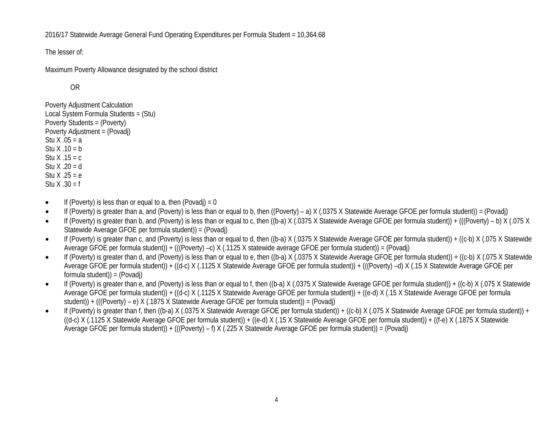2016/17 Statewide Average General Fund Operating Expenditures per Formula Student = 10,364.68

The lesser of:

Maximum Poverty Allowance designated by the school district

OR

Poverty Adjustment Calculation Local System Formula Students = (Stu) Poverty Students = (Poverty) Poverty Adjustment = (Povadj) Stu  $X .05 = a$ Stu  $X .10 = b$ Stu  $X$  .15 = c Stu X .20 = d Stu  $X .25 = e$ Stu  $X .30 = f$ 

- If (Poverty) is less than or equal to a, then (Povadi) = 0
- If (Poverty) is greater than a, and (Poverty) is less than or equal to b, then ((Poverty) a) X (.0375 X Statewide Average GFOE per formula student)) = (Povadj)
- If (Poverty) is greater than b, and (Poverty) is less than or equal to c, then ((b-a) X (.0375 X Statewide Average GFOE per formula student)) + (((Poverty) b) X (.075 X Statewide Average GFOE per formula student)) = (Povadj)
- If (Poverty) is greater than c, and (Poverty) is less than or equal to d, then ((b-a) X (.0375 X Statewide Average GFOE per formula student)) + ((c-b) X (.075 X Statewide Average GFOE per formula student)) + (((Poverty) –c) X (.1125 X statewide average GFOE per formula student)) = (Povadj)
- If (Poverty) is greater than d, and (Poverty) is less than or equal to e, then ((b-a) X (.0375 X Statewide Average GFOE per formula student)) + ((c-b) X (.075 X Statewide Average GFOE per formula student)) + ((d-c) X (.1125 X Statewide Average GFOE per formula student)) + (((Poverty) –d) X (.15 X Statewide Average GFOE per formula student)) = (Povadj)
- If (Poverty) is greater than e, and (Poverty) is less than or equal to f, then ((b-a) X (.0375 X Statewide Average GFOE per formula student)) + ((c-b) X (.075 X Statewide Average GFOE per formula student)) + ((d-c) X (.1125 X Statewide Average GFOE per formula student)) + ((e-d) X (.15 X Statewide Average GFOE per formula student)) + (((Poverty) – e) X (.1875 X Statewide Average GFOE per formula student)) = (Povadj)
- If (Poverty) is greater than f, then ((b-a) X (.0375 X Statewide Average GFOE per formula student)) + ((c-b) X (.075 X Statewide Average GFOE per formula student)) +  $((d-c)$  X (.1125 X Statewide Average GFOE per formula student)) +  $((e-d)$  X (.15 X Statewide Average GFOE per formula student)) +  $((f-e)$  X (.1875 X Statewide Average GFOE per formula student)) + (((Poverty) – f) X (.225 X Statewide Average GFOE per formula student)) = (Povadj)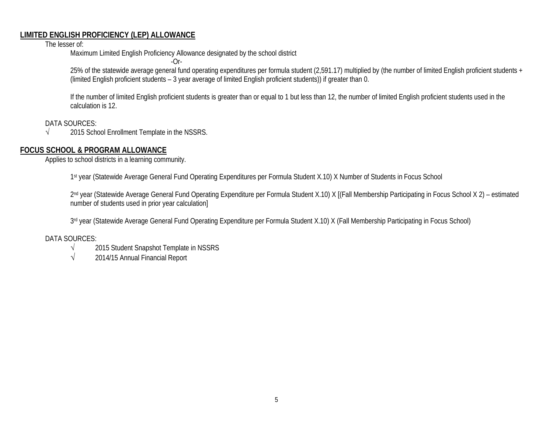#### **LIMITED ENGLISH PROFICIENCY (LEP) ALLOWANCE**

The lesser of:

Maximum Limited English Proficiency Allowance designated by the school district

 $-Or-$ 

25% of the statewide average general fund operating expenditures per formula student (2,591.17) multiplied by (the number of limited English proficient students + (limited English proficient students – 3 year average of limited English proficient students)) if greater than 0.

If the number of limited English proficient students is greater than or equal to 1 but less than 12, the number of limited English proficient students used in the calculation is 12.

DATA SOURCES:

√ 2015 School Enrollment Template in the NSSRS.

#### **FOCUS SCHOOL & PROGRAM ALLOWANCE**

Applies to school districts in a learning community.

1st year (Statewide Average General Fund Operating Expenditures per Formula Student X.10) X Number of Students in Focus School

2<sup>nd</sup> year (Statewide Average General Fund Operating Expenditure per Formula Student X.10) X [(Fall Membership Participating in Focus School X 2) – estimated number of students used in prior year calculation]

3rd year (Statewide Average General Fund Operating Expenditure per Formula Student X.10) X (Fall Membership Participating in Focus School)

#### DATA SOURCES:

- √ 2015 Student Snapshot Template in NSSRS
- $\sqrt{2014/15}$  Annual Financial Report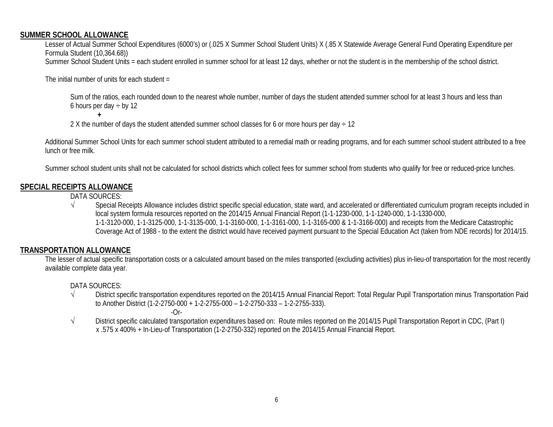#### **SUMMER SCHOOL ALLOWANCE**

Lesser of Actual Summer School Expenditures (6000's) or (.025 X Summer School Student Units) X (.85 X Statewide Average General Fund Operating Expenditure per Formula Student (10,364.68)) Summer School Student Units = each student enrolled in summer school for at least 12 days, whether or not the student is in the membership of the school district.

The initial number of units for each student  $=$ 

**+**

Sum of the ratios, each rounded down to the nearest whole number, number of days the student attended summer school for at least 3 hours and less than 6 hours per day  $\div$  by 12

2 X the number of days the student attended summer school classes for 6 or more hours per day  $\div$  12

Additional Summer School Units for each summer school student attributed to a remedial math or reading programs, and for each summer school student attributed to a free lunch or free milk.

Summer school student units shall not be calculated for school districts which collect fees for summer school from students who qualify for free or reduced-price lunches.

# **SPECIAL RECEIPTS ALLOWANCE**

DATA SOURCES:

√ Special Receipts Allowance includes district specific special education, state ward, and accelerated or differentiated curriculum program receipts included in local system formula resources reported on the 2014/15 Annual Financial Report (1-1-1230-000, 1-1-1240-000, 1-1-1330-000, 1-1-3120-000, 1-1-3125-000, 1-1-3135-000, 1-1-3160-000, 1-1-3161-000, 1-1-3165-000 & 1-1-3166-000) and receipts from the Medicare Catastrophic Coverage Act of 1988 - to the extent the district would have received payment pursuant to the Special Education Act (taken from NDE records) for 2014/15.

# **TRANSPORTATION ALLOWANCE**

The lesser of actual specific transportation costs or a calculated amount based on the miles transported (excluding activities) plus in-lieu-of transportation for the most recently available complete data year.

DATA SOURCES:

- √ District specific transportation expenditures reported on the 2014/15 Annual Financial Report: Total Regular Pupil Transportation minus Transportation Paid to Another District (1-2-2750-000 + 1-2-2755-000 – 1-2-2750-333 – 1-2-2755-333).
	- $-Or-$
- √ District specific calculated transportation expenditures based on: Route miles reported on the 2014/15 Pupil Transportation Report in CDC, (Part I) x .575 x 400% + In-Lieu-of Transportation (1-2-2750-332) reported on the 2014/15 Annual Financial Report.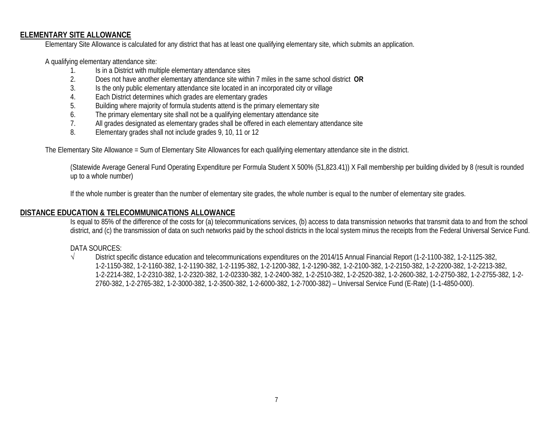#### **ELEMENTARY SITE ALLOWANCE**

Elementary Site Allowance is calculated for any district that has at least one qualifying elementary site, which submits an application.

A qualifying elementary attendance site:

- 1. Is in a District with multiple elementary attendance sites<br>2. Does not have another elementary attendance site withi
- 2. Does not have another elementary attendance site within 7 miles in the same school district **OR**
- 3. Is the only public elementary attendance site located in an incorporated city or village
- 4. Each District determines which grades are elementary grades
- 5. Building where majority of formula students attend is the primary elementary site
- 6. The primary elementary site shall not be a qualifying elementary attendance site
- 7. All grades designated as elementary grades shall be offered in each elementary attendance site
- 8. Elementary grades shall not include grades 9, 10, 11 or 12

The Elementary Site Allowance = Sum of Elementary Site Allowances for each qualifying elementary attendance site in the district.

(Statewide Average General Fund Operating Expenditure per Formula Student X 500% (51,823.41)) X Fall membership per building divided by 8 (result is rounded up to a whole number)

If the whole number is greater than the number of elementary site grades, the whole number is equal to the number of elementary site grades.

#### **DISTANCE EDUCATION & TELECOMMUNICATIONS ALLOWANCE**

Is equal to 85% of the difference of the costs for (a) telecommunications services, (b) access to data transmission networks that transmit data to and from the school district, and (c) the transmission of data on such networks paid by the school districts in the local system minus the receipts from the Federal Universal Service Fund.

#### DATA SOURCES:

√ District specific distance education and telecommunications expenditures on the 2014/15 Annual Financial Report (1-2-1100-382, 1-2-1125-382, 1-2-1150-382, 1-2-1160-382, 1-2-1190-382, 1-2-1195-382, 1-2-1200-382, 1-2-1290-382, 1-2-2100-382, 1-2-2150-382, 1-2-2200-382, 1-2-2213-382, 1-2-2214-382, 1-2-2310-382, 1-2-2320-382, 1-2-02330-382, 1-2-2400-382, 1-2-2510-382, 1-2-2520-382, 1-2-2600-382, 1-2-2750-382, 1-2-2755-382, 1-2- 2760-382, 1-2-2765-382, 1-2-3000-382, 1-2-3500-382, 1-2-6000-382, 1-2-7000-382) – Universal Service Fund (E-Rate) (1-1-4850-000).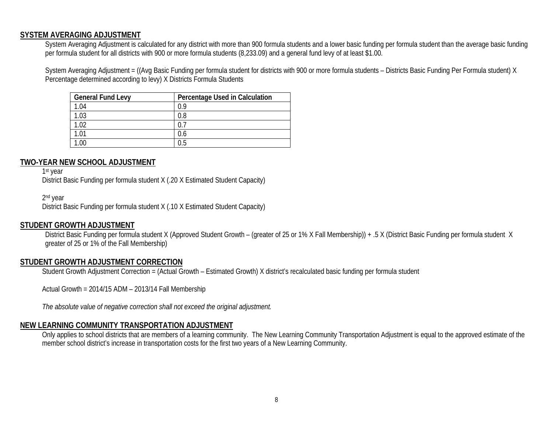#### **SYSTEM AVERAGING ADJUSTMENT**

System Averaging Adjustment is calculated for any district with more than 900 formula students and a lower basic funding per formula student than the average basic funding per formula student for all districts with 900 or more formula students (8,233.09) and a general fund levy of at least \$1.00.

System Averaging Adjustment = ((Avg Basic Funding per formula student for districts with 900 or more formula students – Districts Basic Funding Per Formula student) X Percentage determined according to levy) X Districts Formula Students

| <b>General Fund Levy</b> | Percentage Used in Calculation |
|--------------------------|--------------------------------|
| 1.04                     | 0.9                            |
| 1.03                     | 0.8                            |
| 1.02                     | 0.                             |
| 1.01                     | 0.6                            |
| .00                      | 0.5                            |

#### **TWO-YEAR NEW SCHOOL ADJUSTMENT**

1<sup>st</sup> year

District Basic Funding per formula student X (.20 X Estimated Student Capacity)

2nd year

District Basic Funding per formula student X (.10 X Estimated Student Capacity)

#### **STUDENT GROWTH ADJUSTMENT**

District Basic Funding per formula student X (Approved Student Growth – (greater of 25 or 1% X Fall Membership)) + .5 X (District Basic Funding per formula student X greater of 25 or 1% of the Fall Membership)

#### **STUDENT GROWTH ADJUSTMENT CORRECTION**

Student Growth Adjustment Correction = (Actual Growth – Estimated Growth) X district's recalculated basic funding per formula student

Actual Growth = 2014/15 ADM – 2013/14 Fall Membership

*The absolute value of negative correction shall not exceed the original adjustment.*

#### **NEW LEARNING COMMUNITY TRANSPORTATION ADJUSTMENT**

Only applies to school districts that are members of a learning community. The New Learning Community Transportation Adjustment is equal to the approved estimate of the member school district's increase in transportation costs for the first two years of a New Learning Community.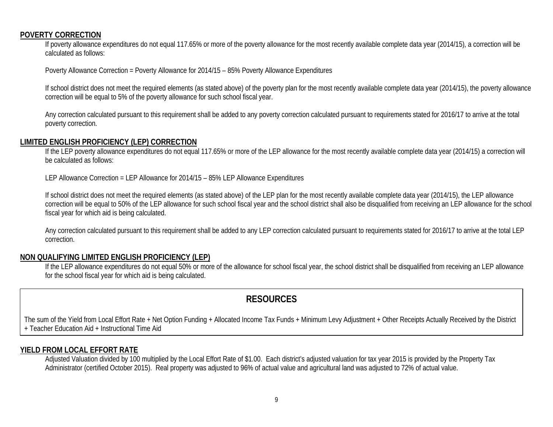#### **POVERTY CORRECTION**

If poverty allowance expenditures do not equal 117.65% or more of the poverty allowance for the most recently available complete data year (2014/15), a correction will be calculated as follows:

Poverty Allowance Correction = Poverty Allowance for 2014/15 – 85% Poverty Allowance Expenditures

If school district does not meet the required elements (as stated above) of the poverty plan for the most recently available complete data year (2014/15), the poverty allowance correction will be equal to 5% of the poverty allowance for such school fiscal year.

Any correction calculated pursuant to this requirement shall be added to any poverty correction calculated pursuant to requirements stated for 2016/17 to arrive at the total poverty correction.

#### **LIMITED ENGLISH PROFICIENCY (LEP) CORRECTION**

If the LEP poverty allowance expenditures do not equal 117.65% or more of the LEP allowance for the most recently available complete data year (2014/15) a correction will be calculated as follows:

LEP Allowance Correction = LEP Allowance for 2014/15 – 85% LEP Allowance Expenditures

If school district does not meet the required elements (as stated above) of the LEP plan for the most recently available complete data year (2014/15), the LEP allowance correction will be equal to 50% of the LEP allowance for such school fiscal year and the school district shall also be disqualified from receiving an LEP allowance for the school fiscal year for which aid is being calculated.

Any correction calculated pursuant to this requirement shall be added to any LEP correction calculated pursuant to requirements stated for 2016/17 to arrive at the total LEP correction.

#### **NON QUALIFYING LIMITED ENGLISH PROFICIENCY (LEP)**

If the LEP allowance expenditures do not equal 50% or more of the allowance for school fiscal year, the school district shall be disqualified from receiving an LEP allowance for the school fiscal year for which aid is being calculated.

# **RESOURCES**

The sum of the Yield from Local Effort Rate + Net Option Funding + Allocated Income Tax Funds + Minimum Levy Adjustment + Other Receipts Actually Received by the District + Teacher Education Aid + Instructional Time Aid

#### **YIELD FROM LOCAL EFFORT RATE**

Adjusted Valuation divided by 100 multiplied by the Local Effort Rate of \$1.00. Each district's adjusted valuation for tax year 2015 is provided by the Property Tax Administrator (certified October 2015). Real property was adjusted to 96% of actual value and agricultural land was adjusted to 72% of actual value.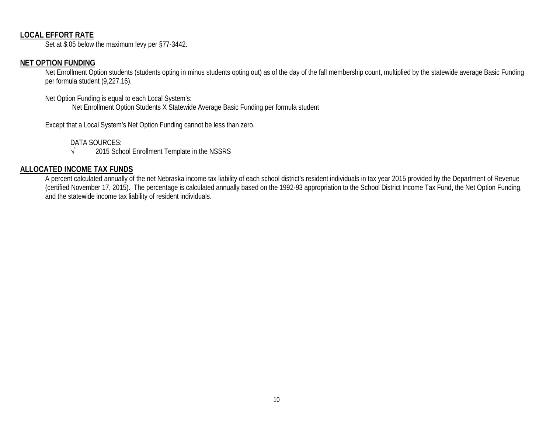#### **LOCAL EFFORT RATE**

Set at \$.05 below the maximum levy per §77-3442.

# **NET OPTION FUNDING**

Net Enrollment Option students (students opting in minus students opting out) as of the day of the fall membership count, multiplied by the statewide average Basic Funding per formula student (9,227.16).

Net Option Funding is equal to each Local System's: Net Enrollment Option Students X Statewide Average Basic Funding per formula student

Except that a Local System's Net Option Funding cannot be less than zero.

DATA SOURCES:

√ 2015 School Enrollment Template in the NSSRS

#### **ALLOCATED INCOME TAX FUNDS**

A percent calculated annually of the net Nebraska income tax liability of each school district's resident individuals in tax year 2015 provided by the Department of Revenue (certified November 17, 2015). The percentage is calculated annually based on the 1992-93 appropriation to the School District Income Tax Fund, the Net Option Funding, and the statewide income tax liability of resident individuals.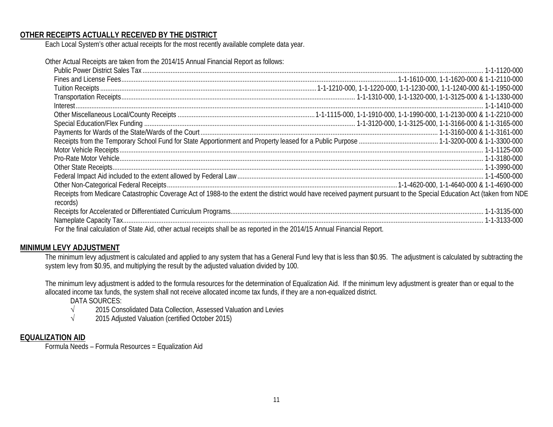#### **OTHER RECEIPTS ACTUALLY RECEIVED BY THE DISTRICT**

Each Local System's other actual receipts for the most recently available complete data year.

| records)                                                                                                                  | Receipts from Medicare Catastrophic Coverage Act of 1988-to the extent the district would have received payment pursuant to the Special Education Act (taken from NDE |
|---------------------------------------------------------------------------------------------------------------------------|-----------------------------------------------------------------------------------------------------------------------------------------------------------------------|
|                                                                                                                           |                                                                                                                                                                       |
|                                                                                                                           |                                                                                                                                                                       |
| For the final calculation of State Aid, other actual receipts shall be as reported in the 2014/15 Annual Financial Report |                                                                                                                                                                       |

For the final calculation of State Aid, other actual receipts shall be as reported in the 2014/15 Annual Financial Report.

#### **MINIMUM LEVY ADJUSTMENT**

The minimum levy adjustment is calculated and applied to any system that has a General Fund levy that is less than \$0.95. The adjustment is calculated by subtracting the system levy from \$0.95, and multiplying the result by the adjusted valuation divided by 100.

The minimum levy adjustment is added to the formula resources for the determination of Equalization Aid. If the minimum levy adjustment is greater than or equal to the allocated income tax funds, the system shall not receive allocated income tax funds, if they are a non-equalized district.

DATA SOURCES:

- √ 2015 Consolidated Data Collection, Assessed Valuation and Levies
- √ 2015 Adjusted Valuation (certified October 2015)

#### **EQUALIZATION AID**

Formula Needs – Formula Resources = Equalization Aid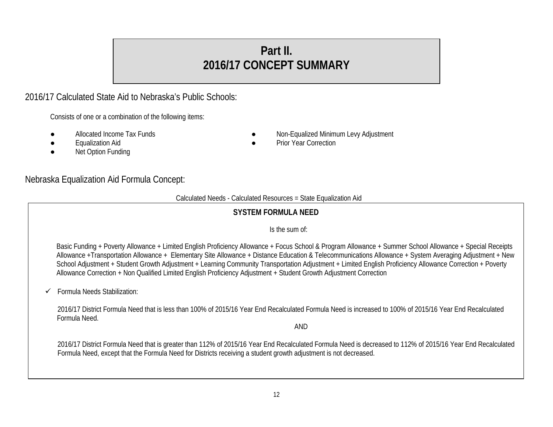# **Part II. 2016/17 CONCEPT SUMMARY**

# 2016/17 Calculated State Aid to Nebraska's Public Schools:

Consists of one or a combination of the following items:

- 
- 
- **Net Option Funding**
- Allocated Income Tax Funds **Allocated Income Tax Funds Allocated Income Tax Funds Allocated Minimum Levy Adjustment**
- **Equalization Aid example 2018** Prior Year Correction

# Nebraska Equalization Aid Formula Concept:

#### Calculated Needs - Calculated Resources = State Equalization Aid

# **SYSTEM FORMULA NEED**

# Is the sum of:

Basic Funding + Poverty Allowance + Limited English Proficiency Allowance + Focus School & Program Allowance + Summer School Allowance + Special Receipts Allowance +Transportation Allowance + Elementary Site Allowance + Distance Education & Telecommunications Allowance + System Averaging Adjustment + New School Adjustment + Student Growth Adjustment + Learning Community Transportation Adjustment + Limited English Proficiency Allowance Correction + Poverty Allowance Correction + Non Qualified Limited English Proficiency Adjustment + Student Growth Adjustment Correction

Formula Needs Stabilization:

2016/17 District Formula Need that is less than 100% of 2015/16 Year End Recalculated Formula Need is increased to 100% of 2015/16 Year End Recalculated Formula Need.

AND

2016/17 District Formula Need that is greater than 112% of 2015/16 Year End Recalculated Formula Need is decreased to 112% of 2015/16 Year End Recalculated Formula Need, except that the Formula Need for Districts receiving a student growth adjustment is not decreased.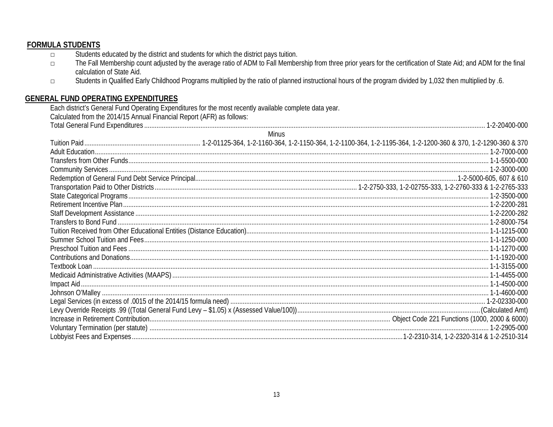# **FORMULA STUDENTS**

- Students educated by the district and students for which the district pays tuition.  $\Box$
- The Fall Membership count adjusted by the average ratio of ADM to Fall Membership from three prior years for the certification of State Aid; and ADM for the final  $\Box$ calculation of State Aid.
- Students in Qualified Early Childhood Programs multiplied by the ratio of planned instructional hours of the program divided by 1,032 then multiplied by .6.  $\Box$

# **GENERAL FUND OPERATING EXPENDITURES**

Each district's General Fund Operating Expenditures for the most recently available complete data year.<br>Calculated from the 2014/15 Annual Financial Report (AFR) as follows: Total Concret Fund Fun

|              | 1-2-20400-000 |  |
|--------------|---------------|--|
| <b>Minus</b> |               |  |
|              |               |  |
|              |               |  |
|              |               |  |
|              |               |  |
|              |               |  |
|              |               |  |
|              |               |  |
|              |               |  |
|              |               |  |
|              |               |  |
|              |               |  |
|              |               |  |
|              |               |  |
|              |               |  |
|              |               |  |
|              |               |  |
|              |               |  |
|              |               |  |
|              |               |  |
|              |               |  |
|              |               |  |
|              |               |  |
|              |               |  |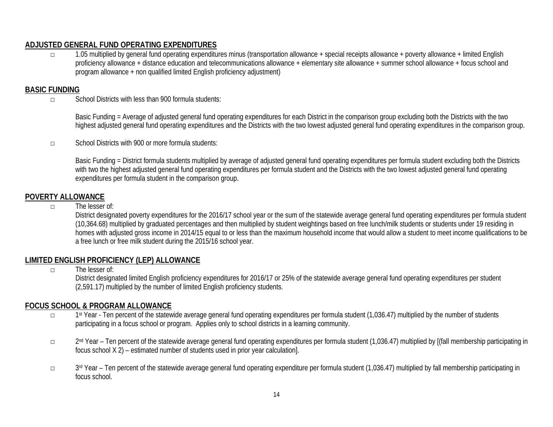# **ADJUSTED GENERAL FUND OPERATING EXPENDITURES**

□ 1.05 multiplied by general fund operating expenditures minus (transportation allowance + special receipts allowance + poverty allowance + limited English proficiency allowance + distance education and telecommunications allowance + elementary site allowance + summer school allowance + focus school and program allowance + non qualified limited English proficiency adjustment)

#### **BASIC FUNDING**

□ School Districts with less than 900 formula students:

Basic Funding = Average of adjusted general fund operating expenditures for each District in the comparison group excluding both the Districts with the two highest adjusted general fund operating expenditures and the Districts with the two lowest adjusted general fund operating expenditures in the comparison group.

□ School Districts with 900 or more formula students:

Basic Funding = District formula students multiplied by average of adjusted general fund operating expenditures per formula student excluding both the Districts with two the highest adjusted general fund operating expenditures per formula student and the Districts with the two lowest adjusted general fund operating expenditures per formula student in the comparison group.

#### **POVERTY ALLOWANCE**

□ The lesser of:

District designated poverty expenditures for the 2016/17 school year or the sum of the statewide average general fund operating expenditures per formula student (10,364.68) multiplied by graduated percentages and then multiplied by student weightings based on free lunch/milk students or students under 19 residing in homes with adjusted gross income in 2014/15 equal to or less than the maximum household income that would allow a student to meet income qualifications to be a free lunch or free milk student during the 2015/16 school year.

# **LIMITED ENGLISH PROFICIENCY (LEP) ALLOWANCE**

 $\neg$  The lesser of:

District designated limited English proficiency expenditures for 2016/17 or 25% of the statewide average general fund operating expenditures per student (2,591.17) multiplied by the number of limited English proficiency students.

# **FOCUS SCHOOL & PROGRAM ALLOWANCE**

- □ 1<sup>st</sup> Year Ten percent of the statewide average general fund operating expenditures per formula student (1,036.47) multiplied by the number of students participating in a focus school or program. Applies only to school districts in a learning community.
- □ 2nd Year Ten percent of the statewide average general fund operating expenditures per formula student (1,036.47) multiplied by [(fall membership participating in focus school X 2) – estimated number of students used in prior year calculation].
- □ 3rd Year Ten percent of the statewide average general fund operating expenditure per formula student (1,036.47) multiplied by fall membership participating in focus school.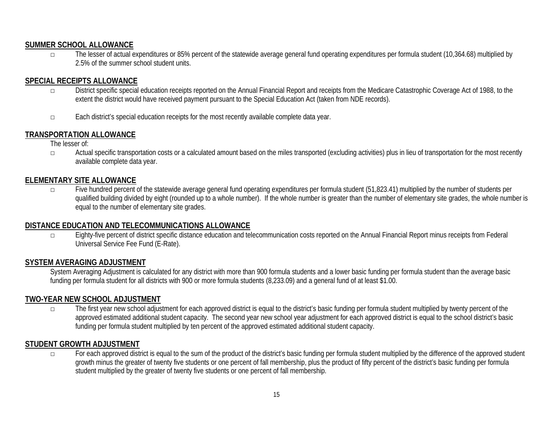#### **SUMMER SCHOOL ALLOWANCE**

□ The lesser of actual expenditures or 85% percent of the statewide average general fund operating expenditures per formula student (10,364.68) multiplied by 2.5% of the summer school student units.

# **SPECIAL RECEIPTS ALLOWANCE**

- □ District specific special education receipts reported on the Annual Financial Report and receipts from the Medicare Catastrophic Coverage Act of 1988, to the extent the district would have received payment pursuant to the Special Education Act (taken from NDE records).
- □ Each district's special education receipts for the most recently available complete data year.

# **TRANSPORTATION ALLOWANCE**

The lesser of:

□ Actual specific transportation costs or a calculated amount based on the miles transported (excluding activities) plus in lieu of transportation for the most recently available complete data year.

#### **ELEMENTARY SITE ALLOWANCE**

□ Five hundred percent of the statewide average general fund operating expenditures per formula student (51,823.41) multiplied by the number of students per qualified building divided by eight (rounded up to a whole number). If the whole number is greater than the number of elementary site grades, the whole number is equal to the number of elementary site grades.

#### **DISTANCE EDUCATION AND TELECOMMUNICATIONS ALLOWANCE**

□ Eighty-five percent of district specific distance education and telecommunication costs reported on the Annual Financial Report minus receipts from Federal Universal Service Fee Fund (E-Rate).

#### **SYSTEM AVERAGING ADJUSTMENT**

System Averaging Adjustment is calculated for any district with more than 900 formula students and a lower basic funding per formula student than the average basic funding per formula student for all districts with 900 or more formula students (8,233.09) and a general fund of at least \$1.00.

#### **TWO-YEAR NEW SCHOOL ADJUSTMENT**

□ The first year new school adjustment for each approved district is equal to the district's basic funding per formula student multiplied by twenty percent of the approved estimated additional student capacity. The second year new school year adjustment for each approved district is equal to the school district's basic funding per formula student multiplied by ten percent of the approved estimated additional student capacity.

# **STUDENT GROWTH ADJUSTMENT**

□ For each approved district is equal to the sum of the product of the district's basic funding per formula student multiplied by the difference of the approved student growth minus the greater of twenty five students or one percent of fall membership, plus the product of fifty percent of the district's basic funding per formula student multiplied by the greater of twenty five students or one percent of fall membership.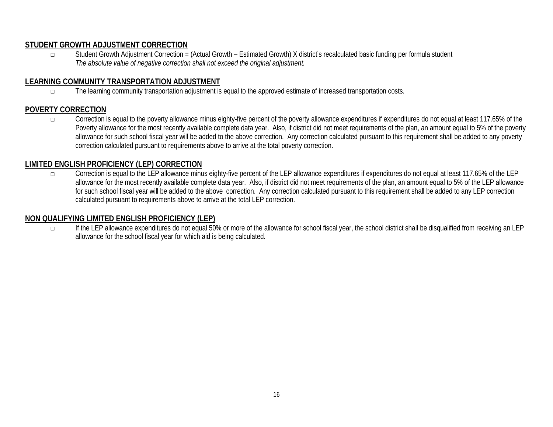# **STUDENT GROWTH ADJUSTMENT CORRECTION**

□ Student Growth Adjustment Correction = (Actual Growth – Estimated Growth) X district's recalculated basic funding per formula student *The absolute value of negative correction shall not exceed the original adjustment.*

#### **LEARNING COMMUNITY TRANSPORTATION ADJUSTMENT**

□ The learning community transportation adjustment is equal to the approved estimate of increased transportation costs.

#### **POVERTY CORRECTION**

□ Correction is equal to the poverty allowance minus eighty-five percent of the poverty allowance expenditures if expenditures do not equal at least 117.65% of the Poverty allowance for the most recently available complete data year. Also, if district did not meet requirements of the plan, an amount equal to 5% of the poverty allowance for such school fiscal year will be added to the above correction. Any correction calculated pursuant to this requirement shall be added to any poverty correction calculated pursuant to requirements above to arrive at the total poverty correction.

# **LIMITED ENGLISH PROFICIENCY (LEP) CORRECTION**

□ Correction is equal to the LEP allowance minus eighty-five percent of the LEP allowance expenditures if expenditures do not equal at least 117.65% of the LEP allowance for the most recently available complete data year. Also, if district did not meet requirements of the plan, an amount equal to 5% of the LEP allowance for such school fiscal year will be added to the above correction. Any correction calculated pursuant to this requirement shall be added to any LEP correction calculated pursuant to requirements above to arrive at the total LEP correction.

#### **NON QUALIFYING LIMITED ENGLISH PROFICIENCY (LEP)**

□ If the LEP allowance expenditures do not equal 50% or more of the allowance for school fiscal year, the school district shall be disqualified from receiving an LEP allowance for the school fiscal year for which aid is being calculated.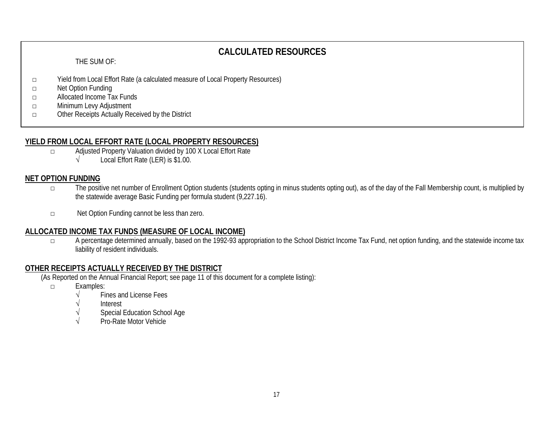# **CALCULATED RESOURCES**

#### THE SUM OF:

- □ Yield from Local Effort Rate (a calculated measure of Local Property Resources)
- □ Net Option Funding
- □ Allocated Income Tax Funds
- □ Minimum Levy Adjustment
- □ Other Receipts Actually Received by the District

# **YIELD FROM LOCAL EFFORT RATE (LOCAL PROPERTY RESOURCES)**

- □ Adjusted Property Valuation divided by 100 X Local Effort Rate
	- √ Local Effort Rate (LER) is \$1.00.

# **NET OPTION FUNDING**

- □ The positive net number of Enrollment Option students (students opting in minus students opting out), as of the day of the Fall Membership count, is multiplied by the statewide average Basic Funding per formula student (9,227.16).
- □ Net Option Funding cannot be less than zero.

# **ALLOCATED INCOME TAX FUNDS (MEASURE OF LOCAL INCOME)**

□ A percentage determined annually, based on the 1992-93 appropriation to the School District Income Tax Fund, net option funding, and the statewide income tax liability of resident individuals.

# **OTHER RECEIPTS ACTUALLY RECEIVED BY THE DISTRICT**

(As Reported on the Annual Financial Report; see page 11 of this document for a complete listing):

- □ Examples:
	- Fines and License Fees
	- √ Interest
	- Special Education School Age
	- Pro-Rate Motor Vehicle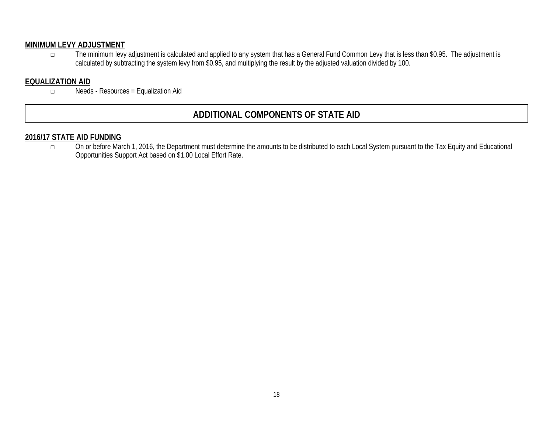# **MINIMUM LEVY ADJUSTMENT**

□ The minimum levy adjustment is calculated and applied to any system that has a General Fund Common Levy that is less than \$0.95. The adjustment is calculated by subtracting the system levy from \$0.95, and multiplying the result by the adjusted valuation divided by 100.

# **EQUALIZATION AID**

□ Needs - Resources = Equalization Aid

# **ADDITIONAL COMPONENTS OF STATE AID**

#### **2016/17 STATE AID FUNDING**

□ On or before March 1, 2016, the Department must determine the amounts to be distributed to each Local System pursuant to the Tax Equity and Educational Opportunities Support Act based on \$1.00 Local Effort Rate.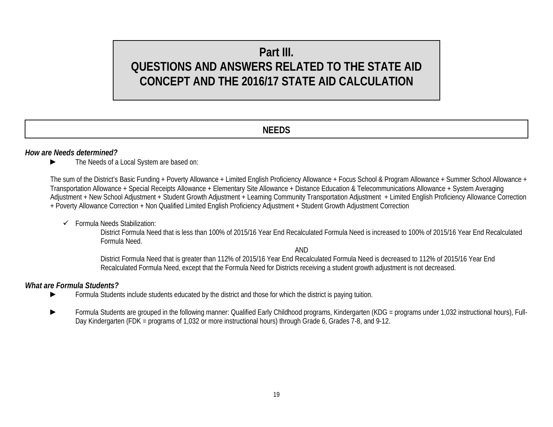# **Part III. QUESTIONS AND ANSWERS RELATED TO THE STATE AID CONCEPT AND THE 2016/17 STATE AID CALCULATION**

# **NEEDS**

#### *How are Needs determined?*

► The Needs of a Local System are based on:

The sum of the District's Basic Funding + Poverty Allowance + Limited English Proficiency Allowance + Focus School & Program Allowance + Summer School Allowance + Transportation Allowance + Special Receipts Allowance + Elementary Site Allowance + Distance Education & Telecommunications Allowance + System Averaging Adjustment + New School Adjustment + Student Growth Adjustment + Learning Community Transportation Adjustment + Limited English Proficiency Allowance Correction + Poverty Allowance Correction + Non Qualified Limited English Proficiency Adjustment + Student Growth Adjustment Correction

 $\checkmark$  Formula Needs Stabilization:

District Formula Need that is less than 100% of 2015/16 Year End Recalculated Formula Need is increased to 100% of 2015/16 Year End Recalculated Formula Need.

AND

District Formula Need that is greater than 112% of 2015/16 Year End Recalculated Formula Need is decreased to 112% of 2015/16 Year End Recalculated Formula Need, except that the Formula Need for Districts receiving a student growth adjustment is not decreased.

#### *What are Formula Students?*

- ► Formula Students include students educated by the district and those for which the district is paying tuition.
- Formula Students are grouped in the following manner: Qualified Early Childhood programs, Kindergarten (KDG = programs under 1,032 instructional hours), Full-Day Kindergarten (FDK = programs of 1,032 or more instructional hours) through Grade 6, Grades 7-8, and 9-12.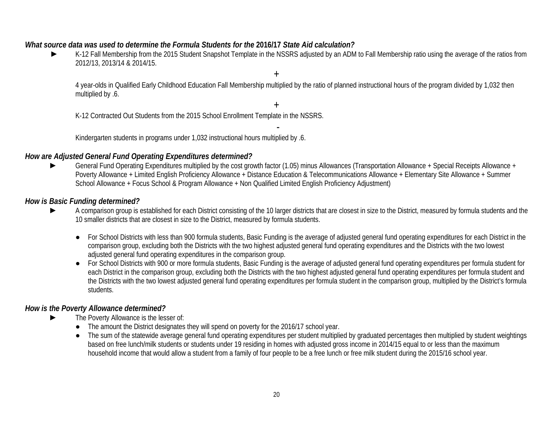#### *What source data was used to determine the Formula Students for the* **2016/17** *State Aid calculation?*

► K-12 Fall Membership from the 2015 Student Snapshot Template in the NSSRS adjusted by an ADM to Fall Membership ratio using the average of the ratios from 2012/13, 2013/14 & 2014/15.

4 year-olds in Qualified Early Childhood Education Fall Membership multiplied by the ratio of planned instructional hours of the program divided by 1,032 then multiplied by .6.

+

+

K-12 Contracted Out Students from the 2015 School Enrollment Template in the NSSRS.

- Kindergarten students in programs under 1,032 instructional hours multiplied by .6.

#### *How are Adjusted General Fund Operating Expenditures determined?*

General Fund Operating Expenditures multiplied by the cost growth factor (1.05) minus Allowances (Transportation Allowance + Special Receipts Allowance + Poverty Allowance + Limited English Proficiency Allowance + Distance Education & Telecommunications Allowance + Elementary Site Allowance + Summer School Allowance + Focus School & Program Allowance + Non Qualified Limited English Proficiency Adjustment)

#### *How is Basic Funding determined?*

- A comparison group is established for each District consisting of the 10 larger districts that are closest in size to the District, measured by formula students and the 10 smaller districts that are closest in size to the District, measured by formula students.
	- For School Districts with less than 900 formula students, Basic Funding is the average of adjusted general fund operating expenditures for each District in the comparison group, excluding both the Districts with the two highest adjusted general fund operating expenditures and the Districts with the two lowest adjusted general fund operating expenditures in the comparison group.
	- For School Districts with 900 or more formula students, Basic Funding is the average of adjusted general fund operating expenditures per formula student for each District in the comparison group, excluding both the Districts with the two highest adjusted general fund operating expenditures per formula student and the Districts with the two lowest adjusted general fund operating expenditures per formula student in the comparison group, multiplied by the District's formula students.

# *How is the Poverty Allowance determined?*

- The Poverty Allowance is the lesser of:
	- The amount the District designates they will spend on poverty for the 2016/17 school year.
	- The sum of the statewide average general fund operating expenditures per student multiplied by graduated percentages then multiplied by student weightings based on free lunch/milk students or students under 19 residing in homes with adjusted gross income in 2014/15 equal to or less than the maximum household income that would allow a student from a family of four people to be a free lunch or free milk student during the 2015/16 school year.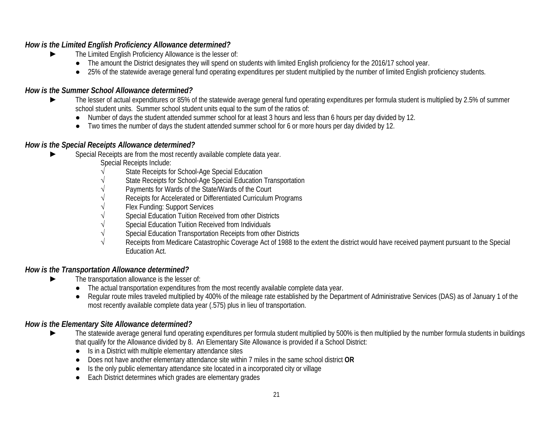# *How is the Limited English Proficiency Allowance determined?*

- ► The Limited English Proficiency Allowance is the lesser of:
	- The amount the District designates they will spend on students with limited English proficiency for the 2016/17 school year.
	- 25% of the statewide average general fund operating expenditures per student multiplied by the number of limited English proficiency students.

# *How is the Summer School Allowance determined?*

- ► The lesser of actual expenditures or 85% of the statewide average general fund operating expenditures per formula student is multiplied by 2.5% of summer school student units. Summer school student units equal to the sum of the ratios of:
	- Number of days the student attended summer school for at least 3 hours and less than 6 hours per day divided by 12.
	- Two times the number of days the student attended summer school for 6 or more hours per day divided by 12.

# *How is the Special Receipts Allowance determined?*

- Special Receipts are from the most recently available complete data year.
	- Special Receipts Include:
	- State Receipts for School-Age Special Education
	- State Receipts for School-Age Special Education Transportation
	- Payments for Wards of the State/Wards of the Court
	- Receipts for Accelerated or Differentiated Curriculum Programs
	- Flex Funding: Support Services
	- Special Education Tuition Received from other Districts
	- Special Education Tuition Received from Individuals
	- Special Education Transportation Receipts from other Districts
	- Receipts from Medicare Catastrophic Coverage Act of 1988 to the extent the district would have received payment pursuant to the Special Education Act.

# *How is the Transportation Allowance determined?*

- The transportation allowance is the lesser of:
	- The actual transportation expenditures from the most recently available complete data year.
	- Regular route miles traveled multiplied by 400% of the mileage rate established by the Department of Administrative Services (DAS) as of January 1 of the most recently available complete data year (.575) plus in lieu of transportation.

# *How is the Elementary Site Allowance determined?*

- ► The statewide average general fund operating expenditures per formula student multiplied by 500% is then multiplied by the number formula students in buildings that qualify for the Allowance divided by 8. An Elementary Site Allowance is provided if a School District:
	- Is in a District with multiple elementary attendance sites
	- Does not have another elementary attendance site within 7 miles in the same school district **OR**
	- Is the only public elementary attendance site located in a incorporated city or village
	- Each District determines which grades are elementary grades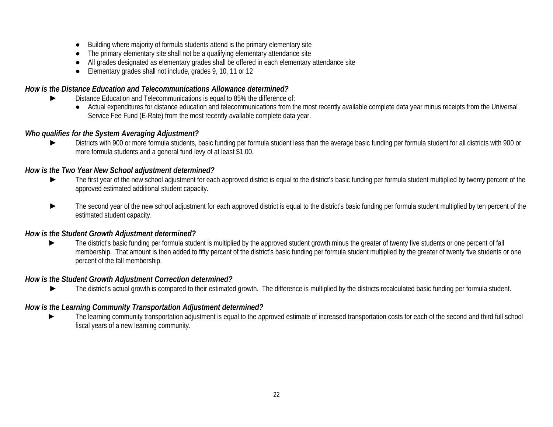- Building where majority of formula students attend is the primary elementary site
- The primary elementary site shall not be a qualifying elementary attendance site
- All grades designated as elementary grades shall be offered in each elementary attendance site
- Elementary grades shall not include, grades 9, 10, 11 or 12

# *How is the Distance Education and Telecommunications Allowance determined?*

- Distance Education and Telecommunications is equal to 85% the difference of:
	- Actual expenditures for distance education and telecommunications from the most recently available complete data year minus receipts from the Universal Service Fee Fund (E-Rate) from the most recently available complete data year.

# *Who qualifies for the System Averaging Adjustment?*

Districts with 900 or more formula students, basic funding per formula student less than the average basic funding per formula student for all districts with 900 or more formula students and a general fund levy of at least \$1.00.

# *How is the Two Year New School adjustment determined?*

- ► The first year of the new school adjustment for each approved district is equal to the district's basic funding per formula student multiplied by twenty percent of the approved estimated additional student capacity.
- The second year of the new school adjustment for each approved district is equal to the district's basic funding per formula student multiplied by ten percent of the estimated student capacity.

# *How is the Student Growth Adjustment determined?*

The district's basic funding per formula student is multiplied by the approved student growth minus the greater of twenty five students or one percent of fall membership. That amount is then added to fifty percent of the district's basic funding per formula student multiplied by the greater of twenty five students or one percent of the fall membership.

# *How is the Student Growth Adjustment Correction determined?*

► The district's actual growth is compared to their estimated growth. The difference is multiplied by the districts recalculated basic funding per formula student.

# *How is the Learning Community Transportation Adjustment determined?*

The learning community transportation adjustment is equal to the approved estimate of increased transportation costs for each of the second and third full school fiscal years of a new learning community.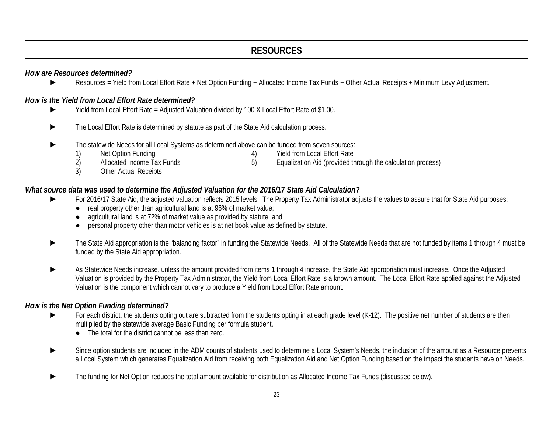# **RESOURCES**

# *How are Resources determined?*

► Resources = Yield from Local Effort Rate + Net Option Funding + Allocated Income Tax Funds + Other Actual Receipts + Minimum Levy Adjustment.

# *How is the Yield from Local Effort Rate determined?*

- Yield from Local Effort Rate = Adjusted Valuation divided by 100 X Local Effort Rate of \$1.00.
- ► The Local Effort Rate is determined by statute as part of the State Aid calculation process.
- The statewide Needs for all Local Systems as determined above can be funded from seven sources:<br>1) Net Option Funding (4) Yield from Local Effort Rate
	-
- 
- 1) Net Option Funding 13 and 13 and 13 and 14 and 13 and 14 and 15 Allocated Income Tax Funds 15 and 15 and 15 and 15 and 16 Allocated the 15 and 15 and 16 Allocated the 15 and 15 and 15 and 15 and 16 and 16 and 16 and 16 Equalization Aid (provided through the calculation process)
- 3) Other Actual Receipts

#### *What source data was used to determine the Adjusted Valuation for the 2016/17 State Aid Calculation?*

- For 2016/17 State Aid, the adjusted valuation reflects 2015 levels. The Property Tax Administrator adjusts the values to assure that for State Aid purposes:
	- real property other than agricultural land is at 96% of market value;
	- agricultural land is at 72% of market value as provided by statute; and
	- personal property other than motor vehicles is at net book value as defined by statute.
- ► The State Aid appropriation is the "balancing factor" in funding the Statewide Needs. All of the Statewide Needs that are not funded by items 1 through 4 must be funded by the State Aid appropriation.
- As Statewide Needs increase, unless the amount provided from items 1 through 4 increase, the State Aid appropriation must increase. Once the Adjusted Valuation is provided by the Property Tax Administrator, the Yield from Local Effort Rate is a known amount. The Local Effort Rate applied against the Adjusted Valuation is the component which cannot vary to produce a Yield from Local Effort Rate amount.

# *How is the Net Option Funding determined?*

- For each district, the students opting out are subtracted from the students opting in at each grade level (K-12). The positive net number of students are then multiplied by the statewide average Basic Funding per formula student.
	- The total for the district cannot be less than zero.
- Since option students are included in the ADM counts of students used to determine a Local System's Needs, the inclusion of the amount as a Resource prevents a Local System which generates Equalization Aid from receiving both Equalization Aid and Net Option Funding based on the impact the students have on Needs.
- The funding for Net Option reduces the total amount available for distribution as Allocated Income Tax Funds (discussed below).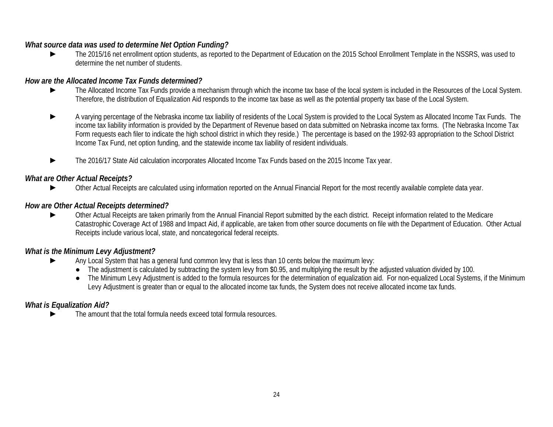# *What source data was used to determine Net Option Funding?*

► The 2015/16 net enrollment option students, as reported to the Department of Education on the 2015 School Enrollment Template in the NSSRS, was used to determine the net number of students.

# *How are the Allocated Income Tax Funds determined?*

- ► The Allocated Income Tax Funds provide a mechanism through which the income tax base of the local system is included in the Resources of the Local System. Therefore, the distribution of Equalization Aid responds to the income tax base as well as the potential property tax base of the Local System.
- ► A varying percentage of the Nebraska income tax liability of residents of the Local System is provided to the Local System as Allocated Income Tax Funds. The income tax liability information is provided by the Department of Revenue based on data submitted on Nebraska income tax forms. (The Nebraska Income Tax Form requests each filer to indicate the high school district in which they reside.) The percentage is based on the 1992-93 appropriation to the School District Income Tax Fund, net option funding, and the statewide income tax liability of resident individuals.
- The 2016/17 State Aid calculation incorporates Allocated Income Tax Funds based on the 2015 Income Tax year.

# *What are Other Actual Receipts?*

Other Actual Receipts are calculated using information reported on the Annual Financial Report for the most recently available complete data year.

#### *How are Other Actual Receipts determined?*

► Other Actual Receipts are taken primarily from the Annual Financial Report submitted by the each district. Receipt information related to the Medicare Catastrophic Coverage Act of 1988 and Impact Aid, if applicable, are taken from other source documents on file with the Department of Education. Other Actual Receipts include various local, state, and noncategorical federal receipts.

# *What is the Minimum Levy Adjustment?*

- Any Local System that has a general fund common levy that is less than 10 cents below the maximum levy:
	- The adjustment is calculated by subtracting the system levy from \$0.95, and multiplying the result by the adjusted valuation divided by 100.
	- The Minimum Levy Adjustment is added to the formula resources for the determination of equalization aid. For non-equalized Local Systems, if the Minimum Levy Adjustment is greater than or equal to the allocated income tax funds, the System does not receive allocated income tax funds.

# *What is Equalization Aid?*

The amount that the total formula needs exceed total formula resources.